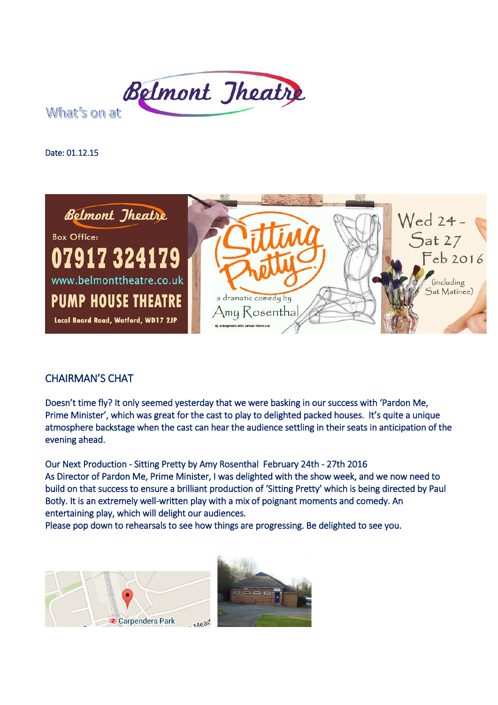

What's on at

Date: 01.12.15



## CHAIRMAN'S CHAT

Doesn't time fly? It only seemed yesterday that we were basking in our success with 'Pardon Me, Prime Minister', which was great for the cast to play to delighted packed houses. It's quite a unique atmosphere backstage when the cast can hear the audience settling in their seats in anticipation of the evening ahead.

Our Next Production - Sitting Pretty by Amy Rosenthal February 24th - 27th 2016 As Director of Pardon Me, Prime Minister, I was delighted with the show week, and we now need to build on that success to ensure a brilliant production of 'Sitting Pretty' which is being directed by Paul Botly. It is an extremely well-written play with a mix of poignant moments and comedy. An entertaining play, which will delight our audiences.

Please pop down to rehearsals to see how things are progressing. Be delighted to see you.



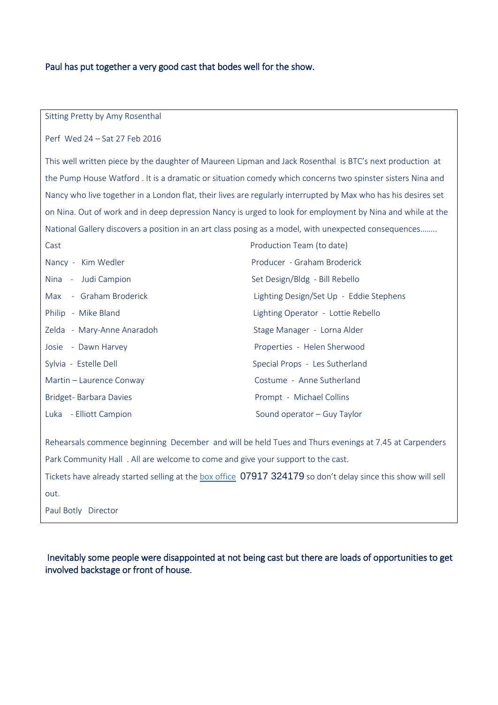## Paul has put together a very good cast that bodes well for the show.

Sitting Pretty by Amy Rosenthal

Perf Wed 24 – Sat 27 Feb 2016

This well written piece by the daughter of Maureen Lipman and Jack Rosenthal is BTC's next production at the Pump House Watford . It is a dramatic or situation comedy which concerns two spinster sisters Nina and Nancy who live together in a London flat, their lives are regularly interrupted by Max who has his desires set on Nina. Out of work and in deep depression Nancy is urged to look for employment by Nina and while at the National Gallery discovers a position in an art class posing as a model, with unexpected consequences……..

| Cast                       | Production Team (to date)               |
|----------------------------|-----------------------------------------|
| Nancy - Kim Wedler         | Producer - Graham Broderick             |
| Nina - Judi Campion        | Set Design/Bldg - Bill Rebello          |
| Max - Graham Broderick     | Lighting Design/Set Up - Eddie Stephens |
| Philip - Mike Bland        | Lighting Operator - Lottie Rebello      |
| Zelda - Mary-Anne Anaradoh | Stage Manager - Lorna Alder             |
| Josie - Dawn Harvey        | Properties - Helen Sherwood             |
| Sylvia - Estelle Dell      | Special Props - Les Sutherland          |
| Martin - Laurence Conway   | Costume - Anne Sutherland               |
| Bridget- Barbara Davies    | Prompt - Michael Collins                |
| Luka - Elliott Campion     | Sound operator – Guy Taylor             |

Rehearsals commence beginning December and will be held Tues and Thurs evenings at 7.45 at Carpenders Park Community Hall . All are welcome to come and give your support to the cast. Tickets have already started selling at th[e box office](http://www.belmonttheatre.co.uk/box-office.html) 07917 324179 so don't delay since this show will sell out. Paul Botly Director

 Inevitably some people were disappointed at not being cast but there are loads of opportunities to get involved backstage or front of house.